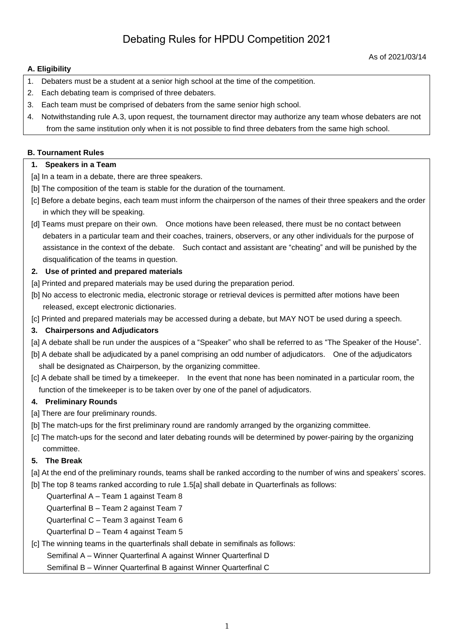# Debating Rules for HPDU Competition 2021

#### **A. Eligibility**

- 1. Debaters must be a student at a senior high school at the time of the competition.
- 2. Each debating team is comprised of three debaters.
- 3. Each team must be comprised of debaters from the same senior high school.
- 4. Notwithstanding rule A.3, upon request, the tournament director may authorize any team whose debaters are not from the same institution only when it is not possible to find three debaters from the same high school.

#### **B. Tournament Rules**

#### **1. Speakers in a Team**

- [a] In a team in a debate, there are three speakers.
- [b] The composition of the team is stable for the duration of the tournament.
- [c] Before a debate begins, each team must inform the chairperson of the names of their three speakers and the order in which they will be speaking.
- [d] Teams must prepare on their own. Once motions have been released, there must be no contact between debaters in a particular team and their coaches, trainers, observers, or any other individuals for the purpose of assistance in the context of the debate. Such contact and assistant are "cheating" and will be punished by the disqualification of the teams in question.

#### **2. Use of printed and prepared materials**

- [a] Printed and prepared materials may be used during the preparation period.
- [b] No access to electronic media, electronic storage or retrieval devices is permitted after motions have been released, except electronic dictionaries.
- [c] Printed and prepared materials may be accessed during a debate, but MAY NOT be used during a speech.

## **3. Chairpersons and Adjudicators**

- [a] A debate shall be run under the auspices of a "Speaker" who shall be referred to as "The Speaker of the House".
- [b] A debate shall be adjudicated by a panel comprising an odd number of adjudicators. One of the adjudicators shall be designated as Chairperson, by the organizing committee.
- [c] A debate shall be timed by a timekeeper. In the event that none has been nominated in a particular room, the function of the timekeeper is to be taken over by one of the panel of adjudicators.

## **4. Preliminary Rounds**

- [a] There are four preliminary rounds.
- [b] The match-ups for the first preliminary round are randomly arranged by the organizing committee.
- [c] The match-ups for the second and later debating rounds will be determined by power-pairing by the organizing committee.

## **5. The Break**

- [a] At the end of the preliminary rounds, teams shall be ranked according to the number of wins and speakers' scores.
- [b] The top 8 teams ranked according to rule 1.5[a] shall debate in Quarterfinals as follows:

Quarterfinal A – Team 1 against Team 8

Quarterfinal B – Team 2 against Team 7

Quarterfinal C – Team 3 against Team 6

Quarterfinal D – Team 4 against Team 5

## [c] The winning teams in the quarterfinals shall debate in semifinals as follows:

Semifinal A – Winner Quarterfinal A against Winner Quarterfinal D

Semifinal B – Winner Quarterfinal B against Winner Quarterfinal C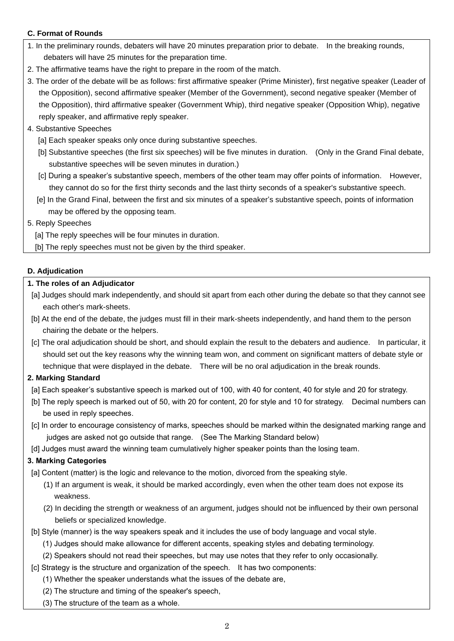## **C. Format of Rounds**

- 1. In the preliminary rounds, debaters will have 20 minutes preparation prior to debate. In the breaking rounds, debaters will have 25 minutes for the preparation time.
- 2. The affirmative teams have the right to prepare in the room of the match.
- 3. The order of the debate will be as follows: first affirmative speaker (Prime Minister), first negative speaker (Leader of the Opposition), second affirmative speaker (Member of the Government), second negative speaker (Member of the Opposition), third affirmative speaker (Government Whip), third negative speaker (Opposition Whip), negative reply speaker, and affirmative reply speaker.
- 4. Substantive Speeches
	- [a] Each speaker speaks only once during substantive speeches.
	- [b] Substantive speeches (the first six speeches) will be five minutes in duration. (Only in the Grand Final debate, substantive speeches will be seven minutes in duration.)
	- [c] During a speaker's substantive speech, members of the other team may offer points of information. However, they cannot do so for the first thirty seconds and the last thirty seconds of a speaker's substantive speech.
	- [e] In the Grand Final, between the first and six minutes of a speaker's substantive speech, points of information may be offered by the opposing team.
- 5. Reply Speeches

[a] The reply speeches will be four minutes in duration.

[b] The reply speeches must not be given by the third speaker.

## **D. Adjudication**

## **1. The roles of an Adjudicator**

- [a] Judges should mark independently, and should sit apart from each other during the debate so that they cannot see each other's mark-sheets.
- [b] At the end of the debate, the judges must fill in their mark-sheets independently, and hand them to the person chairing the debate or the helpers.
- [c] The oral adjudication should be short, and should explain the result to the debaters and audience. In particular, it should set out the key reasons why the winning team won, and comment on significant matters of debate style or technique that were displayed in the debate. There will be no oral adjudication in the break rounds.

## **2. Marking Standard**

- [a] Each speaker's substantive speech is marked out of 100, with 40 for content, 40 for style and 20 for strategy.
- [b] The reply speech is marked out of 50, with 20 for content, 20 for style and 10 for strategy. Decimal numbers can be used in reply speeches.
- [c] In order to encourage consistency of marks, speeches should be marked within the designated marking range and judges are asked not go outside that range. (See The Marking Standard below)
- [d] Judges must award the winning team cumulatively higher speaker points than the losing team.

# **3. Marking Categories**

[a] Content (matter) is the logic and relevance to the motion, divorced from the speaking style.

- (1) If an argument is weak, it should be marked accordingly, even when the other team does not expose its weakness.
- (2) In deciding the strength or weakness of an argument, judges should not be influenced by their own personal beliefs or specialized knowledge.
- [b] Style (manner) is the way speakers speak and it includes the use of body language and vocal style.
	- (1) Judges should make allowance for different accents, speaking styles and debating terminology.
	- (2) Speakers should not read their speeches, but may use notes that they refer to only occasionally.
- [c] Strategy is the structure and organization of the speech. It has two components:
	- (1) Whether the speaker understands what the issues of the debate are,
	- (2) The structure and timing of the speaker's speech,
	- (3) The structure of the team as a whole.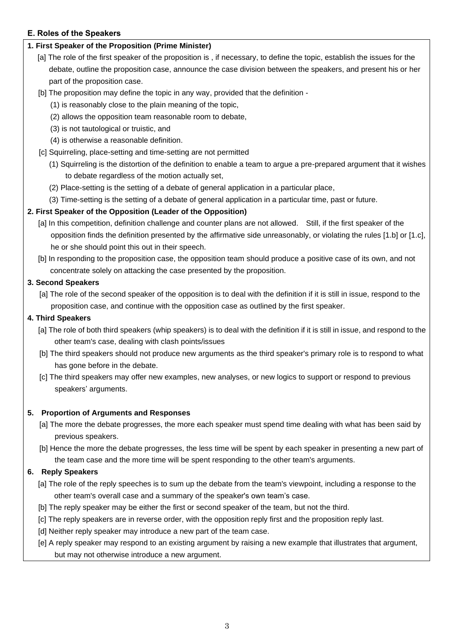## **E. Roles of the Speakers**

## **1. First Speaker of the Proposition (Prime Minister)**

- [a] The role of the first speaker of the proposition is , if necessary, to define the topic, establish the issues for the debate, outline the proposition case, announce the case division between the speakers, and present his or her part of the proposition case.
- [b] The proposition may define the topic in any way, provided that the definition
	- (1) is reasonably close to the plain meaning of the topic,
	- (2) allows the opposition team reasonable room to debate,
	- (3) is not tautological or truistic, and
	- (4) is otherwise a reasonable definition.
- [c] Squirreling, place-setting and time-setting are not permitted
	- (1) Squirreling is the distortion of the definition to enable a team to argue a pre-prepared argument that it wishes to debate regardless of the motion actually set,
	- (2) Place-setting is the setting of a debate of general application in a particular place,
	- (3) Time-setting is the setting of a debate of general application in a particular time, past or future.

## **2. First Speaker of the Opposition (Leader of the Opposition)**

- [a] In this competition, definition challenge and counter plans are not allowed. Still, if the first speaker of the opposition finds the definition presented by the affirmative side unreasonably, or violating the rules [1.b] or [1.c], he or she should point this out in their speech.
- [b] In responding to the proposition case, the opposition team should produce a positive case of its own, and not concentrate solely on attacking the case presented by the proposition.

## **3. Second Speakers**

[a] The role of the second speaker of the opposition is to deal with the definition if it is still in issue, respond to the proposition case, and continue with the opposition case as outlined by the first speaker.

## **4. Third Speakers**

- [a] The role of both third speakers (whip speakers) is to deal with the definition if it is still in issue, and respond to the other team's case, dealing with clash points/issues
- [b] The third speakers should not produce new arguments as the third speaker's primary role is to respond to what has gone before in the debate.
- [c] The third speakers may offer new examples, new analyses, or new logics to support or respond to previous speakers' arguments.

## **5. Proportion of Arguments and Responses**

- [a] The more the debate progresses, the more each speaker must spend time dealing with what has been said by previous speakers.
- [b] Hence the more the debate progresses, the less time will be spent by each speaker in presenting a new part of the team case and the more time will be spent responding to the other team's arguments.

# **6. Reply Speakers**

- [a] The role of the reply speeches is to sum up the debate from the team's viewpoint, including a response to the other team's overall case and a summary of the speaker's own team's case.
- [b] The reply speaker may be either the first or second speaker of the team, but not the third.
- [c] The reply speakers are in reverse order, with the opposition reply first and the proposition reply last.
- [d] Neither reply speaker may introduce a new part of the team case.
- [e] A reply speaker may respond to an existing argument by raising a new example that illustrates that argument, but may not otherwise introduce a new argument.